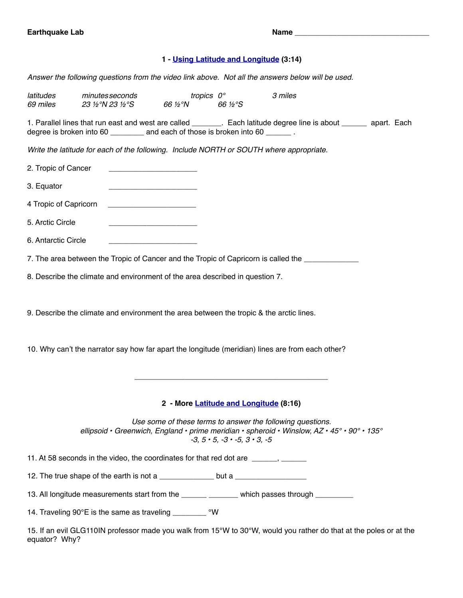# **1 - [Using Latitude and Longitude](https://www.youtube.com/watch?v=swKBi6hHHMA) (3:14)**

*Answer the following questions from the video link above. Not all the answers below will be used.* 

| latitudes<br><i>69 miles</i>                                                                     | minutes seconds<br>23 ½°N 23 ½°S                                                                                     | 66 ½°N                                 | tropics 0°<br>66 ½°S                                    | 3 miles                                                                                                                                                                                      |  |  |
|--------------------------------------------------------------------------------------------------|----------------------------------------------------------------------------------------------------------------------|----------------------------------------|---------------------------------------------------------|----------------------------------------------------------------------------------------------------------------------------------------------------------------------------------------------|--|--|
|                                                                                                  | degree is broken into 60 __________ and each of those is broken into 60 _______.                                     |                                        |                                                         | 1. Parallel lines that run east and west are called _______. Each latitude degree line is about _______ apart. Each                                                                          |  |  |
|                                                                                                  | Write the latitude for each of the following. Include NORTH or SOUTH where appropriate.                              |                                        |                                                         |                                                                                                                                                                                              |  |  |
| 2. Tropic of Cancer                                                                              | <u> 1980 - Jan Barbara, martin da kasar Ing</u>                                                                      |                                        |                                                         |                                                                                                                                                                                              |  |  |
| 3. Equator                                                                                       |                                                                                                                      |                                        |                                                         |                                                                                                                                                                                              |  |  |
| 4 Tropic of Capricorn                                                                            | <u> 1989 - Jan James James Barbara, martxa a shekara 1980 - Ang tsa na shekara 1980 - Ang tsa na shekara 1980 - </u> |                                        |                                                         |                                                                                                                                                                                              |  |  |
| 5. Arctic Circle                                                                                 |                                                                                                                      |                                        |                                                         |                                                                                                                                                                                              |  |  |
| 6. Antarctic Circle                                                                              |                                                                                                                      |                                        |                                                         |                                                                                                                                                                                              |  |  |
|                                                                                                  |                                                                                                                      |                                        |                                                         | 7. The area between the Tropic of Cancer and the Tropic of Capricorn is called the                                                                                                           |  |  |
|                                                                                                  | 8. Describe the climate and environment of the area described in question 7.                                         |                                        |                                                         |                                                                                                                                                                                              |  |  |
|                                                                                                  | 9. Describe the climate and environment the area between the tropic & the arctic lines.                              |                                        |                                                         |                                                                                                                                                                                              |  |  |
| 10. Why can't the narrator say how far apart the longitude (meridian) lines are from each other? |                                                                                                                      |                                        |                                                         |                                                                                                                                                                                              |  |  |
|                                                                                                  |                                                                                                                      |                                        |                                                         |                                                                                                                                                                                              |  |  |
|                                                                                                  |                                                                                                                      | 2 - More Latitude and Longitude (8:16) |                                                         |                                                                                                                                                                                              |  |  |
|                                                                                                  |                                                                                                                      |                                        | $-3$ , $5 \cdot 5$ , $-3 \cdot -5$ , $3 \cdot 3$ , $-5$ | Use some of these terms to answer the following questions.<br>ellipsoid • Greenwich, England • prime meridian • spheroid • Winslow, $AZ \cdot 45^{\circ} \cdot 90^{\circ} \cdot 135^{\circ}$ |  |  |
|                                                                                                  | 11. At 58 seconds in the video, the coordinates for that red dot are ______, _____                                   |                                        |                                                         |                                                                                                                                                                                              |  |  |
|                                                                                                  | 12. The true shape of the earth is not a ______________ but a __________________                                     |                                        |                                                         |                                                                                                                                                                                              |  |  |
|                                                                                                  |                                                                                                                      |                                        |                                                         | 13. All longitude measurements start from the ______ ______ which passes through ________                                                                                                    |  |  |
| 14. Traveling 90°E is the same as traveling __________ °W                                        |                                                                                                                      |                                        |                                                         |                                                                                                                                                                                              |  |  |

15. If an evil GLG110IN professor made you walk from 15°W to 30°W, would you rather do that at the poles or at the equator? Why?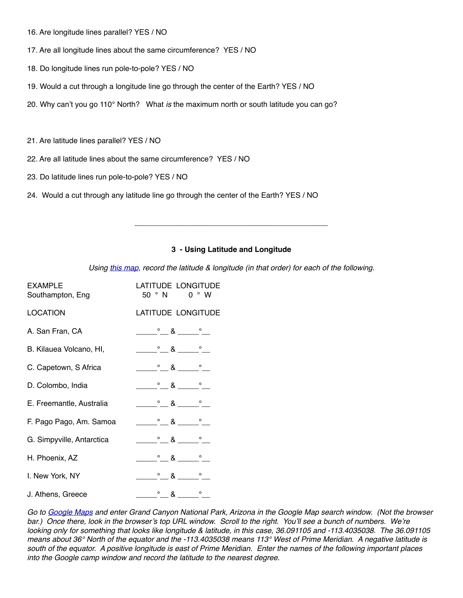- 16. Are longitude lines parallel? YES / NO
- 17. Are all longitude lines about the same circumference? YES / NO
- 18. Do longitude lines run pole-to-pole? YES / NO
- 19. Would a cut through a longitude line go through the center of the Earth? YES / NO
- 20. Why can't you go 110° North? What *is* the maximum north or south latitude you can go?
- 21. Are latitude lines parallel? YES / NO
- 22. Are all latitude lines about the same circumference? YES / NO
- 23. Do latitude lines run pole-to-pole? YES / NO
- 24. Would a cut through any latitude line go through the center of the Earth? YES / NO

#### **3 - Using Latitude and Longitude**

**\_\_\_\_\_\_\_\_\_\_\_\_\_\_\_\_\_\_\_\_\_\_\_\_\_\_\_\_\_\_\_\_\_\_\_\_\_\_\_\_\_\_\_\_\_\_**

*Using [this map](http://www.softpath.org/GLG/GLG103/Tectonics/WorldMap2.pdf), record the latitude & longitude (in that order) for each of the following.*

| <b>EXAMPLE</b><br>Southampton, Eng | LATITUDE LONGITUDE<br>50 ° N 0 ° W                                                                                                                                                                                                                                                                                                                                   |
|------------------------------------|----------------------------------------------------------------------------------------------------------------------------------------------------------------------------------------------------------------------------------------------------------------------------------------------------------------------------------------------------------------------|
| <b>LOCATION</b>                    | LATITUDE LONGITUDE                                                                                                                                                                                                                                                                                                                                                   |
| A. San Fran, CA                    | $\begin{array}{ccc}\n&8 & \n&\n&\n&\n\end{array}$                                                                                                                                                                                                                                                                                                                    |
| B. Kilauea Volcano, HI,            | $\sim$ $\sim$ $\sim$ $\sim$ $\sim$ $\sim$ $\sim$ $\sim$                                                                                                                                                                                                                                                                                                              |
| C. Capetown, S Africa              | $\begin{array}{ccc} & \circ & \circ & \circ & \circ \end{array}$                                                                                                                                                                                                                                                                                                     |
| D. Colombo, India                  | $\frac{1}{\sqrt{2}}$ $\frac{1}{\sqrt{2}}$ $\frac{1}{\sqrt{2}}$ $\frac{1}{\sqrt{2}}$ $\frac{1}{\sqrt{2}}$ $\frac{1}{\sqrt{2}}$ $\frac{1}{\sqrt{2}}$ $\frac{1}{\sqrt{2}}$ $\frac{1}{\sqrt{2}}$ $\frac{1}{\sqrt{2}}$ $\frac{1}{\sqrt{2}}$ $\frac{1}{\sqrt{2}}$ $\frac{1}{\sqrt{2}}$ $\frac{1}{\sqrt{2}}$ $\frac{1}{\sqrt{2}}$ $\frac{1}{\sqrt{2}}$ $\frac{1}{\sqrt{2}}$ |
|                                    |                                                                                                                                                                                                                                                                                                                                                                      |
|                                    |                                                                                                                                                                                                                                                                                                                                                                      |
|                                    |                                                                                                                                                                                                                                                                                                                                                                      |
| H. Phoenix, AZ                     | $\sim$ 8 $\sim$ $\sim$                                                                                                                                                                                                                                                                                                                                               |
| I. New York, NY                    | $\frac{\circ}{\cdot}$ & $\frac{\circ}{\cdot}$                                                                                                                                                                                                                                                                                                                        |
| J. Athens, Greece                  | $\frac{\circ}{\cdot}$ . $\&$ $\frac{\circ}{\cdot}$ . $\frac{\circ}{\cdot}$                                                                                                                                                                                                                                                                                           |

*Go to [Google Maps](https://www.google.com/maps) and enter Grand Canyon National Park, Arizona in the Google Map search window. (Not the browser*  bar.) Once there, look in the browser's top URL window. Scroll to the right. You'll see a bunch of numbers. We're *looking only for something that looks like longitude & latitude, in this case, 36.091105 and -113.4035038. The 36.091105 means about 36° North of the equator and the -113.4035038 means 113° West of Prime Meridian. A negative latitude is south of the equator. A positive longitude is east of Prime Meridian. Enter the names of the following important places into the Google camp window and record the latitude to the nearest degree.*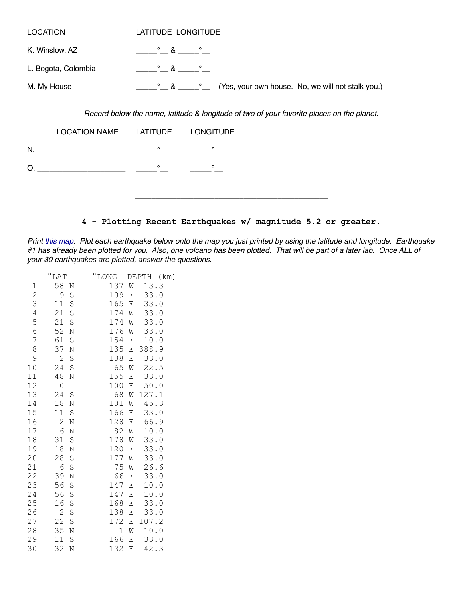| <b>LOCATION</b>     | LATITUDE LONGITUDE                                                     |
|---------------------|------------------------------------------------------------------------|
| K. Winslow, AZ      | $\circ$ & $\circ$                                                      |
| L. Bogota, Colombia | $\circ$ & $\circ$                                                      |
| M. My House         | (Yes, your own house. No, we will not stalk you.)<br>$\circ$ & $\circ$ |
|                     |                                                                        |

*Record below the name, latitude & longitude of two of your favorite places on the planet.* 

| LOCATION NAME LATITUDE LONGITUDE |         |         |  |
|----------------------------------|---------|---------|--|
| N.                               | $\circ$ | $\circ$ |  |
| O                                | $\circ$ | $\circ$ |  |
|                                  |         |         |  |

## **4 - Plotting Recent Earthquakes w/ magnitude 5.2 or greater.**

*Print [this map](http://softpath.org/GLG/GLG103/Tectonics/WorldMapCopy.pdf). Plot each earthquake below onto the map you just printed by using the latitude and longitude. Earthquake #1 has already been plotted for you. Also, one volcano has been plotted. That will be part of a later lab. Once ALL of your 30 earthquakes are plotted, answer the questions.* 

|                | $^{\circ}$ LAT |             | $^{\circ}$ LONG |                          | DEPTH<br>(km) |  |
|----------------|----------------|-------------|-----------------|--------------------------|---------------|--|
| $\mathbf 1$    | 58 N           |             | 137             | W                        | 13.3          |  |
| $\mathbf{2}$   | 9              | S           | 109             | E                        | 33.0          |  |
| 3              | 11             | S           | 165             | $\mathbf E$              | 33.0          |  |
| $\overline{4}$ | 21             | S           | 174             | W                        | 33.0          |  |
| 5              | 21             | S           | 174             | W                        | 33.0          |  |
| $\sqrt{6}$     | 52             | N           | 176             | W                        | 33.0          |  |
| 7              | 61             | S           | 154             | Ε                        | 10.0          |  |
| 8              | 37             | N           | 135             | E                        | 388.9         |  |
| 9              | 2              | S           | 138             | E                        | 33.0          |  |
| 10             | 24             | $\mathbf S$ | 65              | W                        | 22.5          |  |
| 11             | 48             | Ν           | 155             | $\mathop{}\mathopen{} E$ | 33.0          |  |
| 12             | 0              |             | 100             | Ε                        | 50.0          |  |
| 13             | 24             | S           | 68              | W                        | 127.1         |  |
| 14             | 18             | N           | 101             | W                        | 45.3          |  |
| 15             | 11             | S           | 166             | Ε                        | 33.0          |  |
| 16             | 2              | N           | 128             | E                        | 66.9          |  |
| 17             | 6              | N           | 82              | W                        | 10.0          |  |
| 18             | 31             | S           | 178             | W                        | 33.0          |  |
| 19             | 18             | N           | 120             | Ε                        | 33.0          |  |
| 20             | 28             | S           | 177             | W                        | 33.0          |  |
| 21             | 6              | S           | 75              | W                        | 26.6          |  |
| 22             | 39             | N           | 66              | Ε                        | 33.0          |  |
| 23             | 56             | S           | 147             | E                        | 10.0          |  |
| 24             | 56             | S           | 147             | Ε                        | 10.0          |  |
| 25             | 16             | S           | 168             | Ε                        | 33.0          |  |
| 26             | $\overline{c}$ | S           | 138             | Ε                        | 33.0          |  |
| 27             | 22             | S           | 172             | E                        | 107.2         |  |
| 28             | 35             | $\rm N$     | $\mathbf 1$     | W                        | 10.0          |  |
| 29             | 11             | S           | 166             | Ε                        | 33.0          |  |
| 30             | 32             | N           | 132             | E                        | 42.3          |  |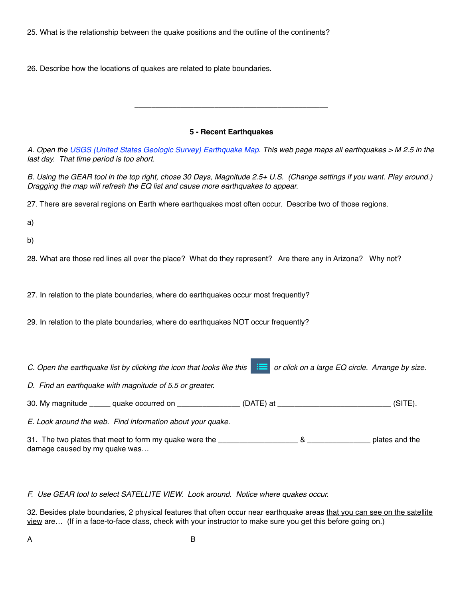25. What is the relationship between the quake positions and the outline of the continents?

26. Describe how the locations of quakes are related to plate boundaries.

## **5 - Recent Earthquakes**

**\_\_\_\_\_\_\_\_\_\_\_\_\_\_\_\_\_\_\_\_\_\_\_\_\_\_\_\_\_\_\_\_\_\_\_\_\_\_\_\_\_\_\_\_\_\_**

*A. Open the [USGS \(United States Geologic Survey\) Earthquake Map](http://earthquake.usgs.gov/earthquakes/map/). This web page maps all earthquakes > M 2.5 in the last day. That time period is too short.*

*B. Using the GEAR tool in the top right, chose 30 Days, Magnitude 2.5+ U.S. (Change settings if you want. Play around.) Dragging the map will refresh the EQ list and cause more earthquakes to appear.* 

27. There are several regions on Earth where earthquakes most often occur. Describe two of those regions.

a)

b)

28. What are those red lines all over the place? What do they represent? Are there any in Arizona? Why not?

27. In relation to the plate boundaries, where do earthquakes occur most frequently?

29. In relation to the plate boundaries, where do earthquakes NOT occur frequently?

*C. Open the earthquake list by clicking the icon that looks like this*  $\mathbf{E}$  or click on a large EQ circle. Arrange by size.

*D. Find an earthquake with magnitude of 5.5 or greater.*

30. My magnitude \_\_\_\_\_ quake occurred on \_\_\_\_\_\_\_\_\_\_\_\_\_\_\_\_ (DATE) at \_\_\_\_\_\_\_\_\_\_\_\_\_\_\_\_\_\_\_\_\_\_\_\_\_\_\_\_\_\_\_ (SITE).

*E. Look around the web. Find information about your quake.* 

31. The two plates that meet to form my quake were the \_\_\_\_\_\_\_\_\_\_\_\_\_\_\_\_\_\_\_ & \_\_\_\_\_\_\_\_\_\_\_\_\_\_\_ plates and the damage caused by my quake was…

*F. Use GEAR tool to select SATELLITE VIEW. Look around. Notice where quakes occur.* 

32. Besides plate boundaries, 2 physical features that often occur near earthquake areas that you can see on the satellite view are… (If in a face-to-face class, check with your instructor to make sure you get this before going on.)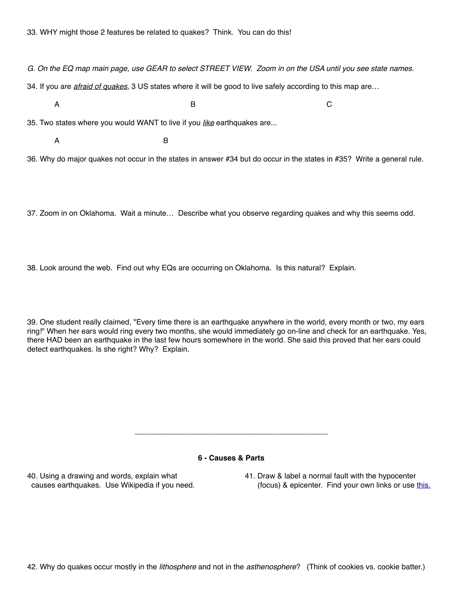*G. On the EQ map main page, use GEAR to select STREET VIEW. Zoom in on the USA until you see state names.* 

34. If you are *afraid of quakes*, 3 US states where it will be good to live safely according to this map are…

A B C

35. Two states where you would WANT to live if you *like* earthquakes are...

A B

36. Why do major quakes not occur in the states in answer #34 but do occur in the states in #35? Write a general rule.

37. Zoom in on Oklahoma. Wait a minute… Describe what you observe regarding quakes and why this seems odd.

38. Look around the web. Find out why EQs are occurring on Oklahoma. Is this natural? Explain.

39. One student really claimed, "Every time there is an earthquake anywhere in the world, every month or two, my ears ring!" When her ears would ring every two months, she would immediately go on-line and check for an earthquake. Yes, there HAD been an earthquake in the last few hours somewhere in the world. She said this proved that her ears could detect earthquakes. Is she right? Why? Explain.

### **6 - Causes & Parts**

**\_\_\_\_\_\_\_\_\_\_\_\_\_\_\_\_\_\_\_\_\_\_\_\_\_\_\_\_\_\_\_\_\_\_\_\_\_\_\_\_\_\_\_\_\_\_**

40. Using a drawing and words, explain what 41. Draw & label a normal fault with the hypocenter causes earthquakes. Use Wikipedia if you need. (focus) & epicenter. Find your own links or use [this.](http://www.actforlibraries.org/the-difference-between-an-earthquake-epicenter-and-hypocenter/)